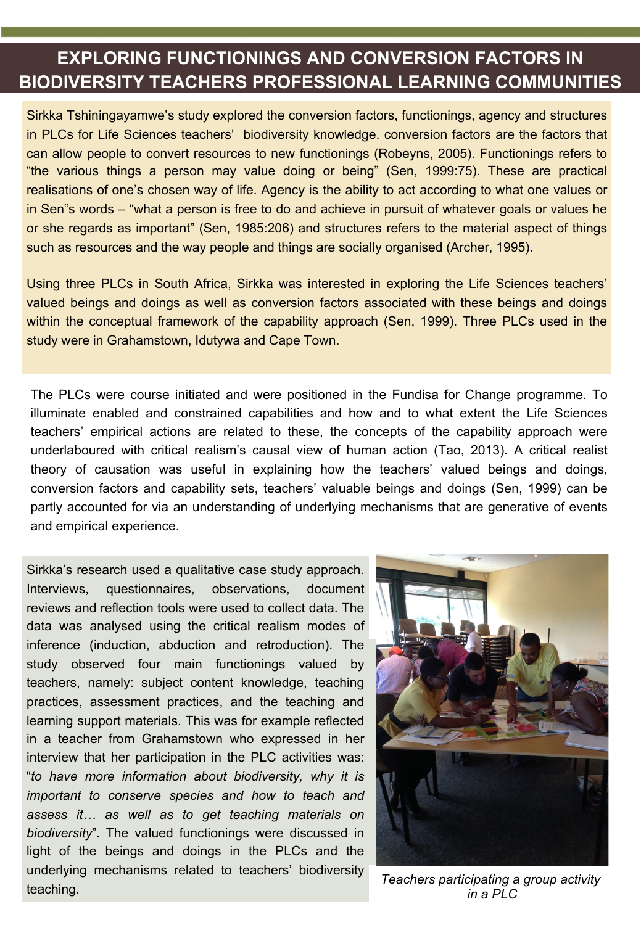## **EXPLORING FUNCTIONINGS AND CONVERSION FACTORS IN BIODIVERSITY TEACHERS PROFESSIONAL LEARNING COMMUNITIES**

Sirkka Tshiningayamwe's study explored the conversion factors, functionings, agency and structures in PLCs for Life Sciences teachers' biodiversity knowledge. conversion factors are the factors that can allow people to convert resources to new functionings (Robeyns, 2005). Functionings refers to "the various things a person may value doing or being" (Sen, 1999:75). These are practical realisations of one's chosen way of life. Agency is the ability to act according to what one values or in Sen"s words – "what a person is free to do and achieve in pursuit of whatever goals or values he or she regards as important" (Sen, 1985:206) and structures refers to the material aspect of things such as resources and the way people and things are socially organised (Archer, 1995).

Using three PLCs in South Africa, Sirkka was interested in exploring the Life Sciences teachers' valued beings and doings as well as conversion factors associated with these beings and doings within the conceptual framework of the capability approach (Sen, 1999). Three PLCs used in the study were in Grahamstown, Idutywa and Cape Town.

The PLCs were course initiated and were positioned in the Fundisa for Change programme. To illuminate enabled and constrained capabilities and how and to what extent the Life Sciences teachers' empirical actions are related to these, the concepts of the capability approach were underlaboured with critical realism's causal view of human action (Tao, 2013). A critical realist theory of causation was useful in explaining how the teachers' valued beings and doings, conversion factors and capability sets, teachers' valuable beings and doings (Sen, 1999) can be partly accounted for via an understanding of underlying mechanisms that are generative of events and empirical experience.

Sirkka's research used a qualitative case study approach. Interviews, questionnaires, observations, document reviews and reflection tools were used to collect data. The data was analysed using the critical realism modes of inference (induction, abduction and retroduction). The study observed four main functionings valued by teachers, namely: subject content knowledge, teaching practices, assessment practices, and the teaching and learning support materials. This was for example reflected in a teacher from Grahamstown who expressed in her interview that her participation in the PLC activities was: "*to have more information about biodiversity, why it is important to conserve species and how to teach and assess it… as well as to get teaching materials on biodiversity*". The valued functionings were discussed in light of the beings and doings in the PLCs and the underlying mechanisms related to teachers' biodiversity teaching. *Teachers participating a group activity* 



*in a PLC*